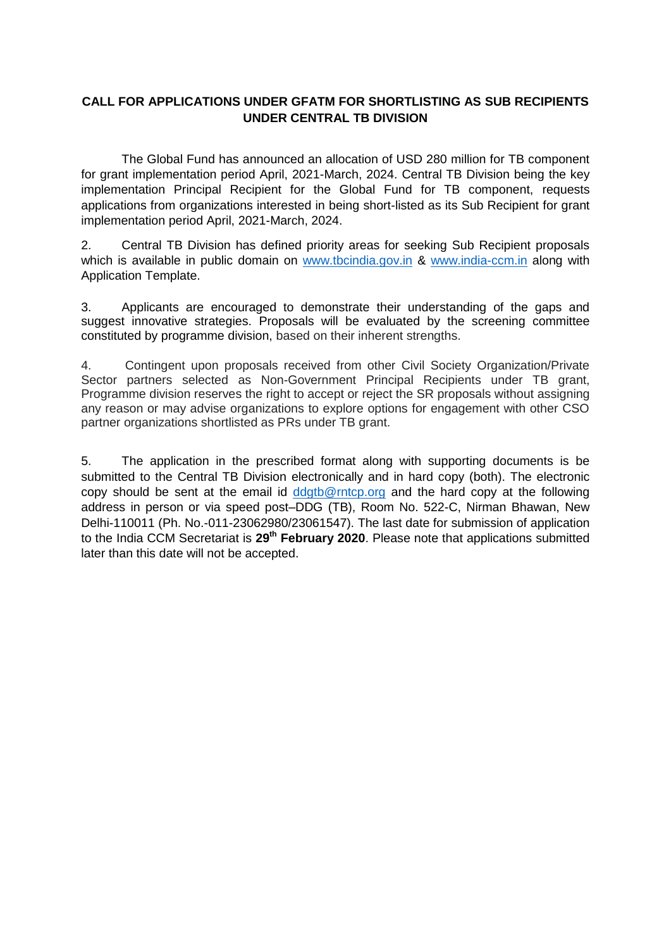## **CALL FOR APPLICATIONS UNDER GFATM FOR SHORTLISTING AS SUB RECIPIENTS UNDER CENTRAL TB DIVISION**

The Global Fund has announced an allocation of USD 280 million for TB component for grant implementation period April, 2021-March, 2024. Central TB Division being the key implementation Principal Recipient for the Global Fund for TB component, requests applications from organizations interested in being short-listed as its Sub Recipient for grant implementation period April, 2021-March, 2024.

2. Central TB Division has defined priority areas for seeking Sub Recipient proposals which is available in public domain on [www.tbcindia.gov.in](http://www.tbcindia.gov.in/) & [www.india-ccm.in](http://www.india-ccm.in/) along with Application Template.

3. Applicants are encouraged to demonstrate their understanding of the gaps and suggest innovative strategies. Proposals will be evaluated by the screening committee constituted by programme division, based on their inherent strengths.

4. Contingent upon proposals received from other Civil Society Organization/Private Sector partners selected as Non-Government Principal Recipients under TB grant, Programme division reserves the right to accept or reject the SR proposals without assigning any reason or may advise organizations to explore options for engagement with other CSO partner organizations shortlisted as PRs under TB grant.

5. The application in the prescribed format along with supporting documents is be submitted to the Central TB Division electronically and in hard copy (both). The electronic copy should be sent at the email id [ddgtb@rntcp.org](mailto:ddgtb@rntcp.org) and the hard copy at the following address in person or via speed post–DDG (TB), Room No. 522-C, Nirman Bhawan, New Delhi-110011 (Ph. No.-011-23062980/23061547). The last date for submission of application to the India CCM Secretariat is 29<sup>th</sup> February 2020. Please note that applications submitted later than this date will not be accepted.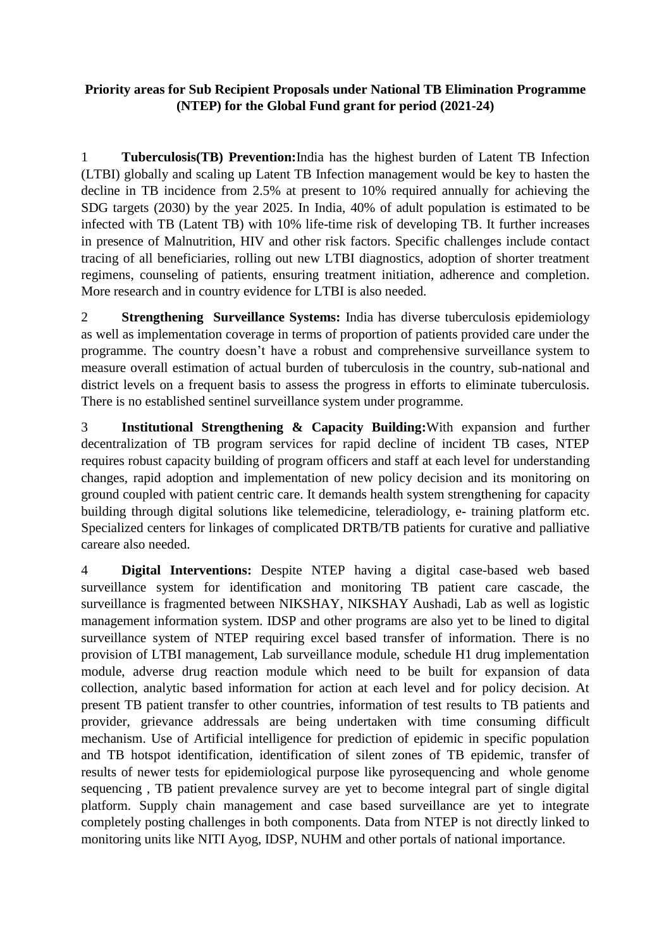# **Priority areas for Sub Recipient Proposals under National TB Elimination Programme (NTEP) for the Global Fund grant for period (2021-24)**

1 **Tuberculosis(TB) Prevention:**India has the highest burden of Latent TB Infection (LTBI) globally and scaling up Latent TB Infection management would be key to hasten the decline in TB incidence from 2.5% at present to 10% required annually for achieving the SDG targets (2030) by the year 2025. In India, 40% of adult population is estimated to be infected with TB (Latent TB) with 10% life-time risk of developing TB. It further increases in presence of Malnutrition, HIV and other risk factors. Specific challenges include contact tracing of all beneficiaries, rolling out new LTBI diagnostics, adoption of shorter treatment regimens, counseling of patients, ensuring treatment initiation, adherence and completion. More research and in country evidence for LTBI is also needed.

2 **Strengthening Surveillance Systems:** India has diverse tuberculosis epidemiology as well as implementation coverage in terms of proportion of patients provided care under the programme. The country doesn't have a robust and comprehensive surveillance system to measure overall estimation of actual burden of tuberculosis in the country, sub-national and district levels on a frequent basis to assess the progress in efforts to eliminate tuberculosis. There is no established sentinel surveillance system under programme.

3 **Institutional Strengthening & Capacity Building:**With expansion and further decentralization of TB program services for rapid decline of incident TB cases, NTEP requires robust capacity building of program officers and staff at each level for understanding changes, rapid adoption and implementation of new policy decision and its monitoring on ground coupled with patient centric care. It demands health system strengthening for capacity building through digital solutions like telemedicine, teleradiology, e- training platform etc. Specialized centers for linkages of complicated DRTB/TB patients for curative and palliative careare also needed.

4 **Digital Interventions:** Despite NTEP having a digital case-based web based surveillance system for identification and monitoring TB patient care cascade, the surveillance is fragmented between NIKSHAY, NIKSHAY Aushadi, Lab as well as logistic management information system. IDSP and other programs are also yet to be lined to digital surveillance system of NTEP requiring excel based transfer of information. There is no provision of LTBI management, Lab surveillance module, schedule H1 drug implementation module, adverse drug reaction module which need to be built for expansion of data collection, analytic based information for action at each level and for policy decision. At present TB patient transfer to other countries, information of test results to TB patients and provider, grievance addressals are being undertaken with time consuming difficult mechanism. Use of Artificial intelligence for prediction of epidemic in specific population and TB hotspot identification, identification of silent zones of TB epidemic, transfer of results of newer tests for epidemiological purpose like pyrosequencing and whole genome sequencing , TB patient prevalence survey are yet to become integral part of single digital platform. Supply chain management and case based surveillance are yet to integrate completely posting challenges in both components. Data from NTEP is not directly linked to monitoring units like NITI Ayog, IDSP, NUHM and other portals of national importance.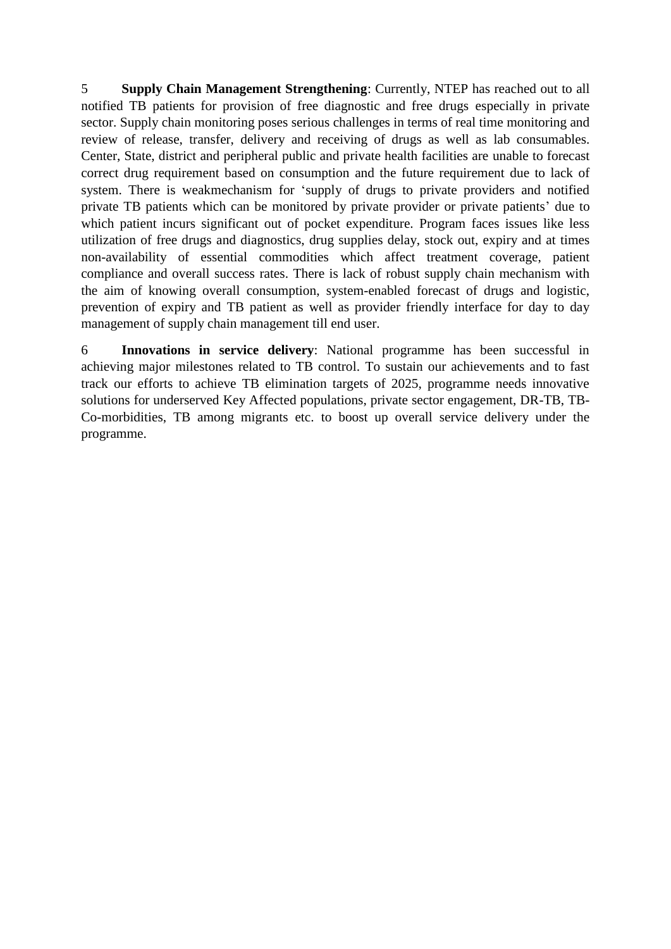5 **Supply Chain Management Strengthening**: Currently, NTEP has reached out to all notified TB patients for provision of free diagnostic and free drugs especially in private sector. Supply chain monitoring poses serious challenges in terms of real time monitoring and review of release, transfer, delivery and receiving of drugs as well as lab consumables. Center, State, district and peripheral public and private health facilities are unable to forecast correct drug requirement based on consumption and the future requirement due to lack of system. There is weakmechanism for 'supply of drugs to private providers and notified private TB patients which can be monitored by private provider or private patients' due to which patient incurs significant out of pocket expenditure. Program faces issues like less utilization of free drugs and diagnostics, drug supplies delay, stock out, expiry and at times non-availability of essential commodities which affect treatment coverage, patient compliance and overall success rates. There is lack of robust supply chain mechanism with the aim of knowing overall consumption, system-enabled forecast of drugs and logistic, prevention of expiry and TB patient as well as provider friendly interface for day to day management of supply chain management till end user.

6 **Innovations in service delivery**: National programme has been successful in achieving major milestones related to TB control. To sustain our achievements and to fast track our efforts to achieve TB elimination targets of 2025, programme needs innovative solutions for underserved Key Affected populations, private sector engagement, DR-TB, TB-Co-morbidities, TB among migrants etc. to boost up overall service delivery under the programme.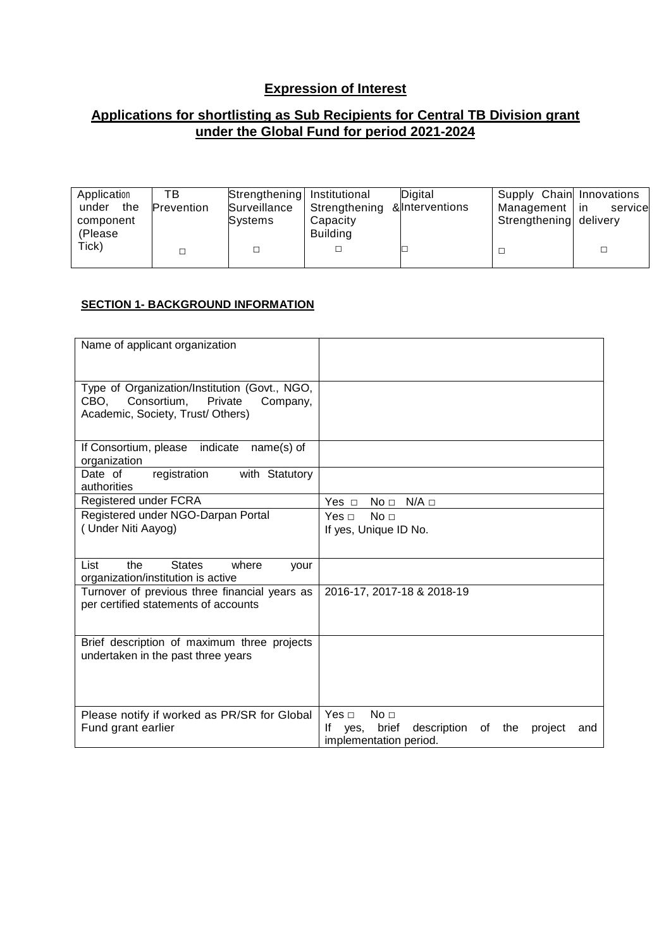# **Expression of Interest**

## **Applications for shortlisting as Sub Recipients for Central TB Division grant under the Global Fund for period 2021-2024**

| Application<br>the<br>under<br>component<br>(Please | тв<br><b>Prevention</b> | Strengthening Institutional<br>Surveillance<br>Systems | Strengthening & Interventions<br>Capacity<br><b>Building</b> | Digital | Supply Chain Innovations<br>Management   in<br>Strengthening delivery | service |
|-----------------------------------------------------|-------------------------|--------------------------------------------------------|--------------------------------------------------------------|---------|-----------------------------------------------------------------------|---------|
| Tick)                                               |                         |                                                        |                                                              |         |                                                                       |         |

## **SECTION 1- BACKGROUND INFORMATION**

| Name of applicant organization                                                                                                   |                                                                                                                              |
|----------------------------------------------------------------------------------------------------------------------------------|------------------------------------------------------------------------------------------------------------------------------|
| Type of Organization/Institution (Govt., NGO,<br>Consortium,<br>Private<br>CBO,<br>Company,<br>Academic, Society, Trust/ Others) |                                                                                                                              |
| indicate<br>If Consortium, please<br>$name(s)$ of<br>organization                                                                |                                                                                                                              |
| Date of<br>with Statutory<br>registration<br>authorities                                                                         |                                                                                                                              |
| Registered under FCRA                                                                                                            | Yes $\Box$<br>No <sub>1</sub><br>$N/A \Box$                                                                                  |
| Registered under NGO-Darpan Portal<br>(Under Niti Aayog)                                                                         | No <sub>1</sub><br>Yes $\Box$<br>If yes, Unique ID No.                                                                       |
| List<br><b>States</b><br>the<br>where<br>your<br>organization/institution is active                                              |                                                                                                                              |
| Turnover of previous three financial years as<br>per certified statements of accounts                                            | 2016-17, 2017-18 & 2018-19                                                                                                   |
| Brief description of maximum three projects<br>undertaken in the past three years                                                |                                                                                                                              |
| Please notify if worked as PR/SR for Global<br>Fund grant earlier                                                                | Yes $\Box$<br>No <sub>1</sub><br>brief<br>description<br>lf<br>the<br>yes,<br>of<br>project<br>and<br>implementation period. |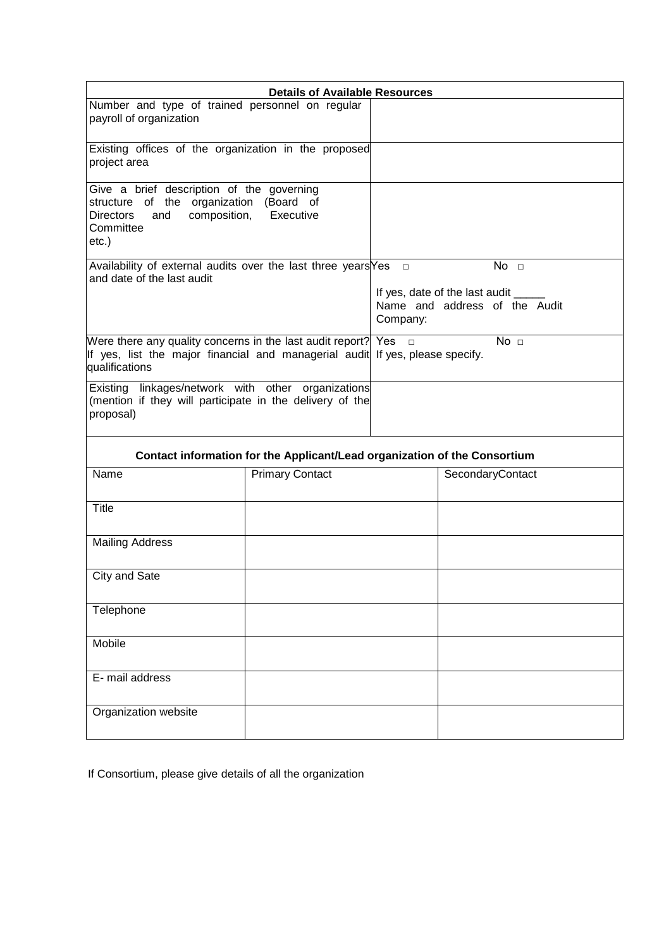| <b>Details of Available Resources</b>                                                                                                                            |                                                                           |                                                                             |                  |  |  |
|------------------------------------------------------------------------------------------------------------------------------------------------------------------|---------------------------------------------------------------------------|-----------------------------------------------------------------------------|------------------|--|--|
| Number and type of trained personnel on regular<br>payroll of organization                                                                                       |                                                                           |                                                                             |                  |  |  |
| Existing offices of the organization in the proposed<br>project area                                                                                             |                                                                           |                                                                             |                  |  |  |
| Give a brief description of the governing<br>structure of the organization (Board of<br>composition,<br><b>Directors</b><br>and<br>Committee<br>etc.)            | Executive                                                                 |                                                                             |                  |  |  |
| Availability of external audits over the last three years $Yes \Box$<br>and date of the last audit                                                               |                                                                           |                                                                             | No <sub>1</sub>  |  |  |
|                                                                                                                                                                  |                                                                           | If yes, date of the last audit<br>Name and address of the Audit<br>Company: |                  |  |  |
| Were there any quality concerns in the last audit report? Yes<br>If yes, list the major financial and managerial audit If yes, please specify.<br>qualifications |                                                                           | No <sub>1</sub><br>$\Box$                                                   |                  |  |  |
| Existing linkages/network with other organizations<br>(mention if they will participate in the delivery of the<br>proposal)                                      |                                                                           |                                                                             |                  |  |  |
|                                                                                                                                                                  | Contact information for the Applicant/Lead organization of the Consortium |                                                                             |                  |  |  |
| Name                                                                                                                                                             | <b>Primary Contact</b>                                                    |                                                                             | SecondaryContact |  |  |
| <b>Title</b>                                                                                                                                                     |                                                                           |                                                                             |                  |  |  |
| <b>Mailing Address</b>                                                                                                                                           |                                                                           |                                                                             |                  |  |  |
| City and Sate                                                                                                                                                    |                                                                           |                                                                             |                  |  |  |
| Telephone                                                                                                                                                        |                                                                           |                                                                             |                  |  |  |
| Mobile                                                                                                                                                           |                                                                           |                                                                             |                  |  |  |
| E- mail address                                                                                                                                                  |                                                                           |                                                                             |                  |  |  |
| Organization website                                                                                                                                             |                                                                           |                                                                             |                  |  |  |

If Consortium, please give details of all the organization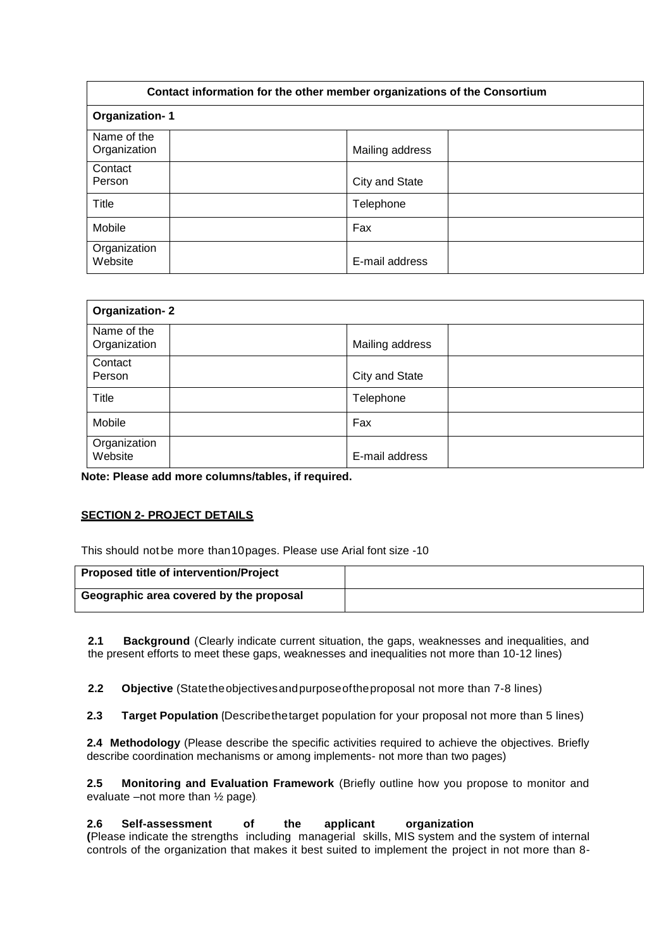| Contact information for the other member organizations of the Consortium |                 |  |  |  |
|--------------------------------------------------------------------------|-----------------|--|--|--|
| <b>Organization-1</b>                                                    |                 |  |  |  |
| Name of the<br>Organization                                              | Mailing address |  |  |  |
| Contact<br>Person                                                        | City and State  |  |  |  |
| Title                                                                    | Telephone       |  |  |  |
| Mobile                                                                   | Fax             |  |  |  |
| Organization<br>Website                                                  | E-mail address  |  |  |  |

| <b>Organization-2</b>       |  |                 |  |  |
|-----------------------------|--|-----------------|--|--|
| Name of the<br>Organization |  | Mailing address |  |  |
| Contact<br>Person           |  | City and State  |  |  |
| <b>Title</b>                |  | Telephone       |  |  |
| Mobile                      |  | Fax             |  |  |
| Organization<br>Website     |  | E-mail address  |  |  |

**Note: Please add more columns/tables, if required.**

## **SECTION 2- PROJECT DETAILS**

This should not be more than10pages. Please use Arial font size -10

| <b>Proposed title of intervention/Project</b> |  |
|-----------------------------------------------|--|
| Geographic area covered by the proposal       |  |

**2.1 Background** (Clearly indicate current situation, the gaps, weaknesses and inequalities, and the present efforts to meet these gaps, weaknesses and inequalities not more than 10-12 lines)

**2.2 Objective** (Statetheobjectivesandpurposeoftheproposal not more than 7-8 lines)

**2.3 Target Population (**Describethetarget population for your proposal not more than 5 lines)

**2.4 Methodology** (Please describe the specific activities required to achieve the objectives. Briefly describe coordination mechanisms or among implements- not more than two pages)

**2.5 Monitoring and Evaluation Framework** (Briefly outline how you propose to monitor and evaluate –not more than ½ page).

**2.6 Self-assessment of the applicant organization** 

**(**Please indicate the strengths including managerial skills, MIS system and the system of internal controls of the organization that makes it best suited to implement the project in not more than 8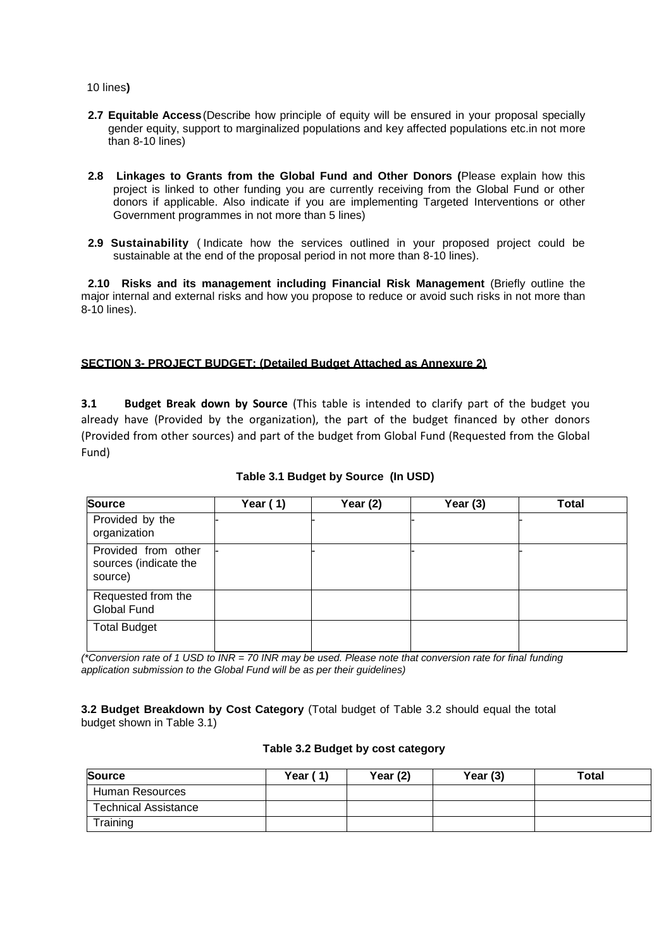10 lines**)**

- **2.7 Equitable Access**(Describe how principle of equity will be ensured in your proposal specially gender equity, support to marginalized populations and key affected populations etc.in not more than 8-10 lines)
- **2.8 Linkages to Grants from the Global Fund and Other Donors (**Please explain how this project is linked to other funding you are currently receiving from the Global Fund or other donors if applicable. Also indicate if you are implementing Targeted Interventions or other Government programmes in not more than 5 lines)
- **2.9 Sustainability** ( Indicate how the services outlined in your proposed project could be sustainable at the end of the proposal period in not more than 8-10 lines).

**2.10 Risks and its management including Financial Risk Management** (Briefly outline the major internal and external risks and how you propose to reduce or avoid such risks in not more than 8-10 lines).

## **SECTION 3- PROJECT BUDGET: (Detailed Budget Attached as Annexure 2)**

**3.1 Budget Break down by Source** (This table is intended to clarify part of the budget you already have (Provided by the organization), the part of the budget financed by other donors (Provided from other sources) and part of the budget from Global Fund (Requested from the Global Fund)

| <b>Source</b>                                           | Year $(1)$ | Year $(2)$ | Year $(3)$ | Total |
|---------------------------------------------------------|------------|------------|------------|-------|
| Provided by the<br>organization                         |            |            |            |       |
| Provided from other<br>sources (indicate the<br>source) |            |            |            |       |
| Requested from the<br>Global Fund                       |            |            |            |       |
| <b>Total Budget</b>                                     |            |            |            |       |

## **Table 3.1 Budget by Source (In USD)**

*(\*Conversion rate of 1 USD to INR = 70 INR may be used. Please note that conversion rate for final funding application submission to the Global Fund will be as per their guidelines)*

**3.2 Budget Breakdown by Cost Category** (Total budget of Table 3.2 should equal the total budget shown in Table 3.1)

#### **Table 3.2 Budget by cost category**

| <b>Source</b>               | Year (<br>(1) | Year $(2)$ | Year (3) | Total |
|-----------------------------|---------------|------------|----------|-------|
| Human Resources             |               |            |          |       |
| <b>Technical Assistance</b> |               |            |          |       |
| Training                    |               |            |          |       |